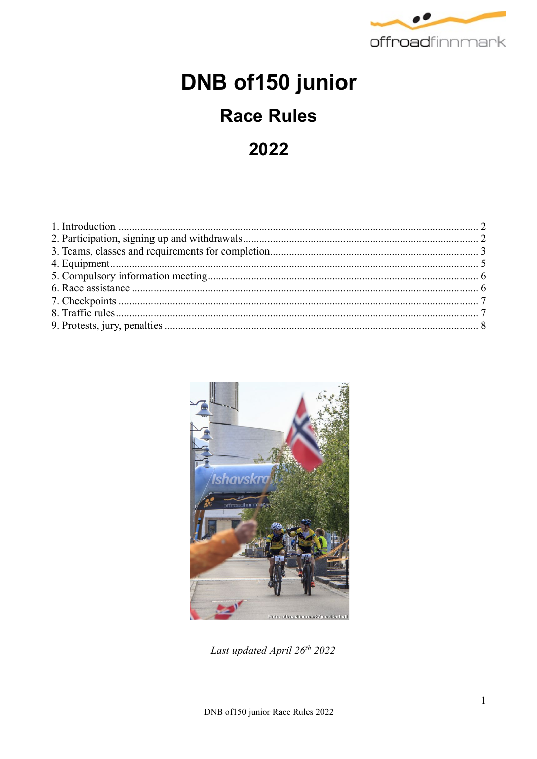

# DNB of150 junior

## **Race Rules**

2022



Last updated April 26th 2022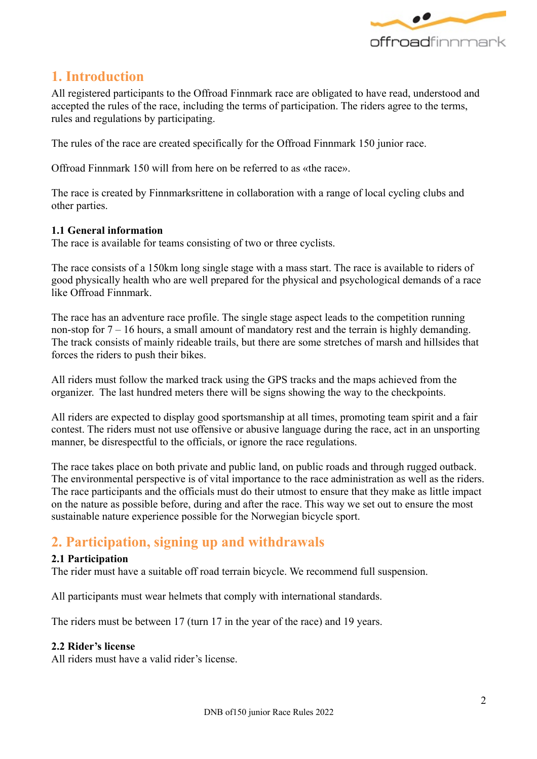

## **1. Introduction**

All registered participants to the Offroad Finnmark race are obligated to have read, understood and accepted the rules of the race, including the terms of participation. The riders agree to the terms, rules and regulations by participating.

The rules of the race are created specifically for the Offroad Finnmark 150 junior race.

Offroad Finnmark 150 will from here on be referred to as «the race».

The race is created by Finnmarksrittene in collaboration with a range of local cycling clubs and other parties.

#### **1.1 General information**

The race is available for teams consisting of two or three cyclists.

The race consists of a 150km long single stage with a mass start. The race is available to riders of good physically health who are well prepared for the physical and psychological demands of a race like Offroad Finnmark.

The race has an adventure race profile. The single stage aspect leads to the competition running non-stop for 7 – 16 hours, a small amount of mandatory rest and the terrain is highly demanding. The track consists of mainly rideable trails, but there are some stretches of marsh and hillsides that forces the riders to push their bikes.

All riders must follow the marked track using the GPS tracks and the maps achieved from the organizer. The last hundred meters there will be signs showing the way to the checkpoints.

All riders are expected to display good sportsmanship at all times, promoting team spirit and a fair contest. The riders must not use offensive or abusive language during the race, act in an unsporting manner, be disrespectful to the officials, or ignore the race regulations.

The race takes place on both private and public land, on public roads and through rugged outback. The environmental perspective is of vital importance to the race administration as well as the riders. The race participants and the officials must do their utmost to ensure that they make as little impact on the nature as possible before, during and after the race. This way we set out to ensure the most sustainable nature experience possible for the Norwegian bicycle sport.

## **2. Participation, signing up and withdrawals**

#### **2.1 Participation**

The rider must have a suitable off road terrain bicycle. We recommend full suspension.

All participants must wear helmets that comply with international standards.

The riders must be between 17 (turn 17 in the year of the race) and 19 years.

#### **2.2 Rider's license**

All riders must have a valid rider's license.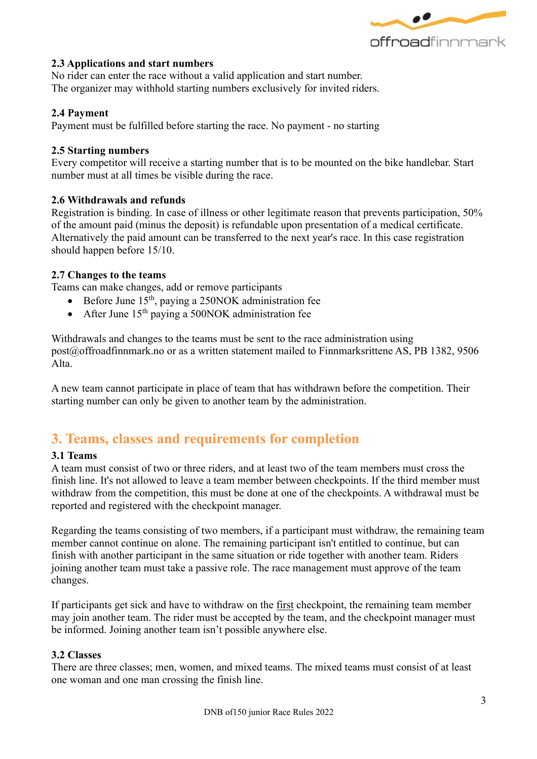

#### **2.3 Applications and start numbers**

No rider can enter the race without a valid application and start number. The organizer may withhold starting numbers exclusively for invited riders.

#### **2.4 Payment**

Payment must be fulfilled before starting the race. No payment - no starting

#### **2.5 Starting numbers**

Every competitor will receive a starting number that is to be mounted on the bike handlebar. Start number must at all times be visible during the race.

#### **2.6 Withdrawals and refunds**

Registration is binding. In case of illness or other legitimate reason that prevents participation, 50% of the amount paid (minus the deposit) is refundable upon presentation of a medical certificate. Alternatively the paid amount can be transferred to the next year's race. In this case registration should happen before 15/10.

#### **2.7 Changes to the teams**

Teams can make changes, add or remove participants

- Before June  $15<sup>th</sup>$ , paying a 250NOK administration fee
- After June  $15<sup>th</sup>$  paying a 500NOK administration fee

Withdrawals and changes to the teams must be sent to the race administration using post@offroadfinnmark.no or as a written statement mailed to Finnmarksrittene AS, PB 1382, 9506 Alta.

A new team cannot participate in place of team that has withdrawn before the competition. Their starting number can only be given to another team by the administration.

## **3. Teams, classes and requirements for completion**

#### **3.1 Teams**

A team must consist of two or three riders, and at least two of the team members must cross the finish line. It's not allowed to leave a team member between checkpoints. If the third member must withdraw from the competition, this must be done at one of the checkpoints. A withdrawal must be reported and registered with the checkpoint manager.

Regarding the teams consisting of two members, if a participant must withdraw, the remaining team member cannot continue on alone. The remaining participant isn't entitled to continue, but can finish with another participant in the same situation or ride together with another team. Riders joining another team must take a passive role. The race management must approve of the team changes.

If participants get sick and have to withdraw on the first checkpoint, the remaining team member may join another team. The rider must be accepted by the team, and the checkpoint manager must be informed. Joining another team isn't possible anywhere else.

#### **3.2 Classes**

There are three classes; men, women, and mixed teams. The mixed teams must consist of at least one woman and one man crossing the finish line.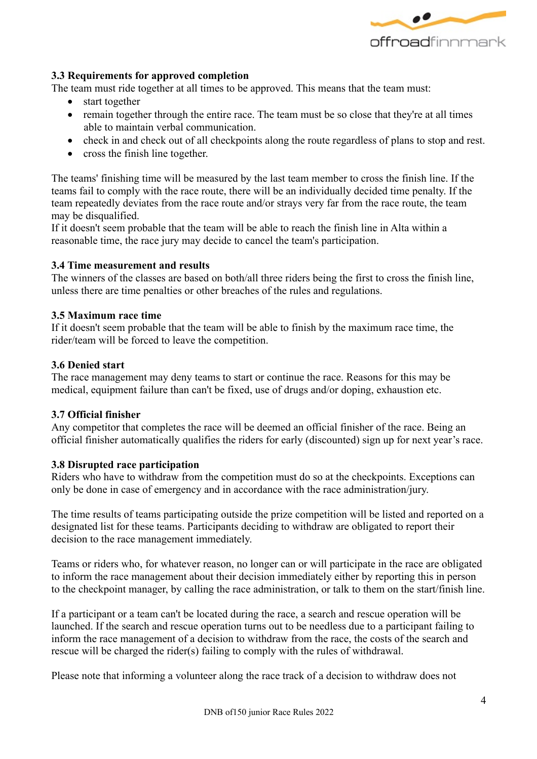

#### **3.3 Requirements for approved completion**

The team must ride together at all times to be approved. This means that the team must:

- start together
- remain together through the entire race. The team must be so close that they're at all times able to maintain verbal communication.
- check in and check out of all checkpoints along the route regardless of plans to stop and rest.
- cross the finish line together.

The teams' finishing time will be measured by the last team member to cross the finish line. If the teams fail to comply with the race route, there will be an individually decided time penalty. If the team repeatedly deviates from the race route and/or strays very far from the race route, the team may be disqualified.

If it doesn't seem probable that the team will be able to reach the finish line in Alta within a reasonable time, the race jury may decide to cancel the team's participation.

#### **3.4 Time measurement and results**

The winners of the classes are based on both/all three riders being the first to cross the finish line, unless there are time penalties or other breaches of the rules and regulations.

#### **3.5 Maximum race time**

If it doesn't seem probable that the team will be able to finish by the maximum race time, the rider/team will be forced to leave the competition.

#### **3.6 Denied start**

The race management may deny teams to start or continue the race. Reasons for this may be medical, equipment failure than can't be fixed, use of drugs and/or doping, exhaustion etc.

#### **3.7 Official finisher**

Any competitor that completes the race will be deemed an official finisher of the race. Being an official finisher automatically qualifies the riders for early (discounted) sign up for next year's race.

#### **3.8 Disrupted race participation**

Riders who have to withdraw from the competition must do so at the checkpoints. Exceptions can only be done in case of emergency and in accordance with the race administration/jury.

The time results of teams participating outside the prize competition will be listed and reported on a designated list for these teams. Participants deciding to withdraw are obligated to report their decision to the race management immediately.

Teams or riders who, for whatever reason, no longer can or will participate in the race are obligated to inform the race management about their decision immediately either by reporting this in person to the checkpoint manager, by calling the race administration, or talk to them on the start/finish line.

If a participant or a team can't be located during the race, a search and rescue operation will be launched. If the search and rescue operation turns out to be needless due to a participant failing to inform the race management of a decision to withdraw from the race, the costs of the search and rescue will be charged the rider(s) failing to comply with the rules of withdrawal.

Please note that informing a volunteer along the race track of a decision to withdraw does not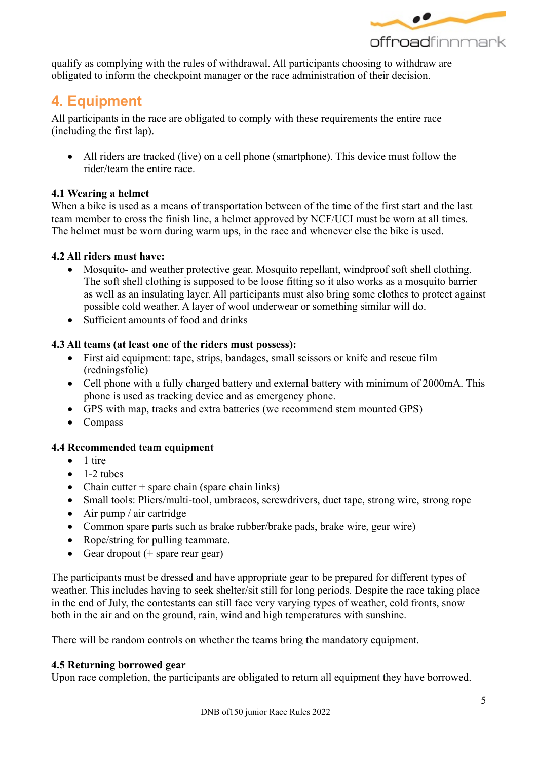

qualify as complying with the rules of withdrawal. All participants choosing to withdraw are obligated to inform the checkpoint manager or the race administration of their decision.

## **4. Equipment**

All participants in the race are obligated to comply with these requirements the entire race (including the first lap).

• All riders are tracked (live) on a cell phone (smartphone). This device must follow the rider/team the entire race.

#### **4.1 Wearing a helmet**

When a bike is used as a means of transportation between of the time of the first start and the last team member to cross the finish line, a helmet approved by NCF/UCI must be worn at all times. The helmet must be worn during warm ups, in the race and whenever else the bike is used.

#### **4.2 All riders must have:**

- Mosquito- and weather protective gear. Mosquito repellant, windproof soft shell clothing. The soft shell clothing is supposed to be loose fitting so it also works as a mosquito barrier as well as an insulating layer. All participants must also bring some clothes to protect against possible cold weather. A layer of wool underwear or something similar will do.
- Sufficient amounts of food and drinks

#### **4.3 All teams (at least one of the riders must possess):**

- First aid equipment: tape, strips, bandages, small scissors or knife and rescue film (redningsfolie)
- Cell phone with a fully charged battery and external battery with minimum of 2000mA. This phone is used as tracking device and as emergency phone.
- GPS with map, tracks and extra batteries (we recommend stem mounted GPS)
- Compass

#### **4.4 Recommended team equipment**

- 1 tire
- $\bullet$  1-2 tubes
- Chain cutter  $+$  spare chain (spare chain links)
- Small tools: Pliers/multi-tool, umbracos, screwdrivers, duct tape, strong wire, strong rope
- Air pump / air cartridge
- Common spare parts such as brake rubber/brake pads, brake wire, gear wire)
- Rope/string for pulling teammate.
- Gear dropout  $(+)$  spare rear gear)

The participants must be dressed and have appropriate gear to be prepared for different types of weather. This includes having to seek shelter/sit still for long periods. Despite the race taking place in the end of July, the contestants can still face very varying types of weather, cold fronts, snow both in the air and on the ground, rain, wind and high temperatures with sunshine.

There will be random controls on whether the teams bring the mandatory equipment.

#### **4.5 Returning borrowed gear**

Upon race completion, the participants are obligated to return all equipment they have borrowed.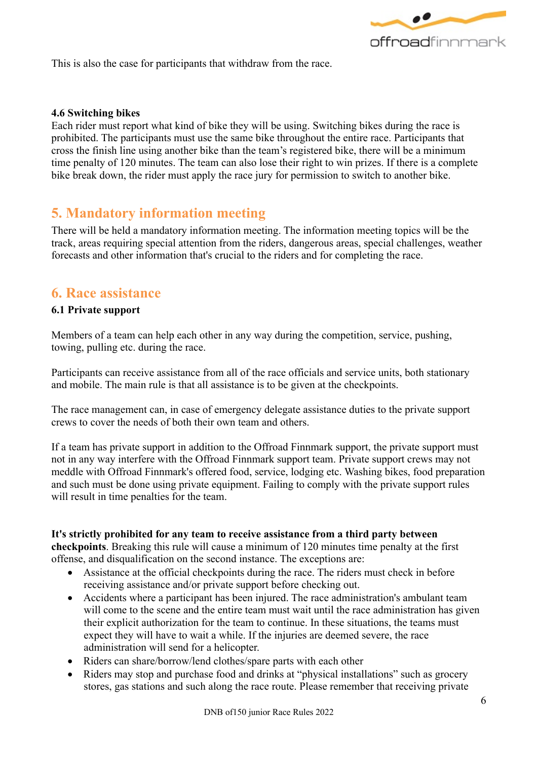

This is also the case for participants that withdraw from the race.

#### **4.6 Switching bikes**

Each rider must report what kind of bike they will be using. Switching bikes during the race is prohibited. The participants must use the same bike throughout the entire race. Participants that cross the finish line using another bike than the team's registered bike, there will be a minimum time penalty of 120 minutes. The team can also lose their right to win prizes. If there is a complete bike break down, the rider must apply the race jury for permission to switch to another bike.

## **5. Mandatory information meeting**

There will be held a mandatory information meeting. The information meeting topics will be the track, areas requiring special attention from the riders, dangerous areas, special challenges, weather forecasts and other information that's crucial to the riders and for completing the race.

## **6. Race assistance**

#### **6.1 Private support**

Members of a team can help each other in any way during the competition, service, pushing, towing, pulling etc. during the race.

Participants can receive assistance from all of the race officials and service units, both stationary and mobile. The main rule is that all assistance is to be given at the checkpoints.

The race management can, in case of emergency delegate assistance duties to the private support crews to cover the needs of both their own team and others.

If a team has private support in addition to the Offroad Finnmark support, the private support must not in any way interfere with the Offroad Finnmark support team. Private support crews may not meddle with Offroad Finnmark's offered food, service, lodging etc. Washing bikes, food preparation and such must be done using private equipment. Failing to comply with the private support rules will result in time penalties for the team.

#### **It's strictly prohibited for any team to receive assistance from a third party between**

**checkpoints**. Breaking this rule will cause a minimum of 120 minutes time penalty at the first offense, and disqualification on the second instance. The exceptions are:

- Assistance at the official checkpoints during the race. The riders must check in before receiving assistance and/or private support before checking out.
- Accidents where a participant has been injured. The race administration's ambulant team will come to the scene and the entire team must wait until the race administration has given their explicit authorization for the team to continue. In these situations, the teams must expect they will have to wait a while. If the injuries are deemed severe, the race administration will send for a helicopter.
- Riders can share/borrow/lend clothes/spare parts with each other
- Riders may stop and purchase food and drinks at "physical installations" such as grocery stores, gas stations and such along the race route. Please remember that receiving private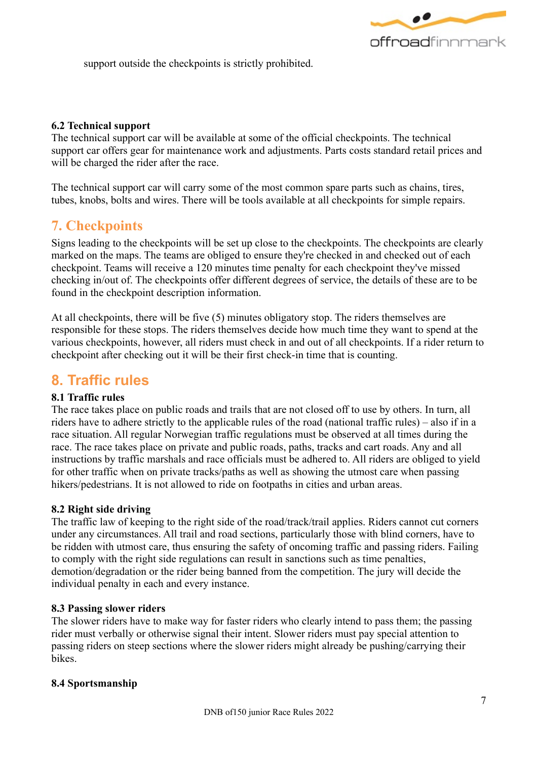

support outside the checkpoints is strictly prohibited.

#### **6.2 Technical support**

The technical support car will be available at some of the official checkpoints. The technical support car offers gear for maintenance work and adjustments. Parts costs standard retail prices and will be charged the rider after the race.

The technical support car will carry some of the most common spare parts such as chains, tires, tubes, knobs, bolts and wires. There will be tools available at all checkpoints for simple repairs.

## **7. Checkpoints**

Signs leading to the checkpoints will be set up close to the checkpoints. The checkpoints are clearly marked on the maps. The teams are obliged to ensure they're checked in and checked out of each checkpoint. Teams will receive a 120 minutes time penalty for each checkpoint they've missed checking in/out of. The checkpoints offer different degrees of service, the details of these are to be found in the checkpoint description information.

At all checkpoints, there will be five (5) minutes obligatory stop. The riders themselves are responsible for these stops. The riders themselves decide how much time they want to spend at the various checkpoints, however, all riders must check in and out of all checkpoints. If a rider return to checkpoint after checking out it will be their first check-in time that is counting.

## **8. Traffic rules**

#### **8.1 Traffic rules**

The race takes place on public roads and trails that are not closed off to use by others. In turn, all riders have to adhere strictly to the applicable rules of the road (national traffic rules) – also if in a race situation. All regular Norwegian traffic regulations must be observed at all times during the race. The race takes place on private and public roads, paths, tracks and cart roads. Any and all instructions by traffic marshals and race officials must be adhered to. All riders are obliged to yield for other traffic when on private tracks/paths as well as showing the utmost care when passing hikers/pedestrians. It is not allowed to ride on footpaths in cities and urban areas.

#### **8.2 Right side driving**

The traffic law of keeping to the right side of the road/track/trail applies. Riders cannot cut corners under any circumstances. All trail and road sections, particularly those with blind corners, have to be ridden with utmost care, thus ensuring the safety of oncoming traffic and passing riders. Failing to comply with the right side regulations can result in sanctions such as time penalties, demotion/degradation or the rider being banned from the competition. The jury will decide the individual penalty in each and every instance.

#### **8.3 Passing slower riders**

The slower riders have to make way for faster riders who clearly intend to pass them; the passing rider must verbally or otherwise signal their intent. Slower riders must pay special attention to passing riders on steep sections where the slower riders might already be pushing/carrying their bikes.

#### **8.4 Sportsmanship**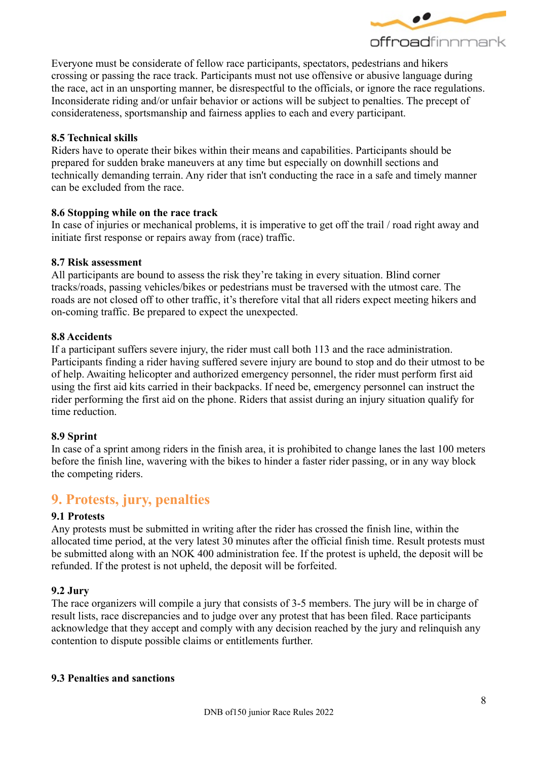

Everyone must be considerate of fellow race participants, spectators, pedestrians and hikers crossing or passing the race track. Participants must not use offensive or abusive language during the race, act in an unsporting manner, be disrespectful to the officials, or ignore the race regulations. Inconsiderate riding and/or unfair behavior or actions will be subject to penalties. The precept of considerateness, sportsmanship and fairness applies to each and every participant.

#### **8.5 Technical skills**

Riders have to operate their bikes within their means and capabilities. Participants should be prepared for sudden brake maneuvers at any time but especially on downhill sections and technically demanding terrain. Any rider that isn't conducting the race in a safe and timely manner can be excluded from the race.

#### **8.6 Stopping while on the race track**

In case of injuries or mechanical problems, it is imperative to get off the trail / road right away and initiate first response or repairs away from (race) traffic.

#### **8.7 Risk assessment**

All participants are bound to assess the risk they're taking in every situation. Blind corner tracks/roads, passing vehicles/bikes or pedestrians must be traversed with the utmost care. The roads are not closed off to other traffic, it's therefore vital that all riders expect meeting hikers and on-coming traffic. Be prepared to expect the unexpected.

#### **8.8 Accidents**

If a participant suffers severe injury, the rider must call both 113 and the race administration. Participants finding a rider having suffered severe injury are bound to stop and do their utmost to be of help. Awaiting helicopter and authorized emergency personnel, the rider must perform first aid using the first aid kits carried in their backpacks. If need be, emergency personnel can instruct the rider performing the first aid on the phone. Riders that assist during an injury situation qualify for time reduction.

#### **8.9 Sprint**

In case of a sprint among riders in the finish area, it is prohibited to change lanes the last 100 meters before the finish line, wavering with the bikes to hinder a faster rider passing, or in any way block the competing riders.

## **9. Protests, jury, penalties**

#### **9.1 Protests**

Any protests must be submitted in writing after the rider has crossed the finish line, within the allocated time period, at the very latest 30 minutes after the official finish time. Result protests must be submitted along with an NOK 400 administration fee. If the protest is upheld, the deposit will be refunded. If the protest is not upheld, the deposit will be forfeited.

#### **9.2 Jury**

The race organizers will compile a jury that consists of 3-5 members. The jury will be in charge of result lists, race discrepancies and to judge over any protest that has been filed. Race participants acknowledge that they accept and comply with any decision reached by the jury and relinquish any contention to dispute possible claims or entitlements further.

#### **9.3 Penalties and sanctions**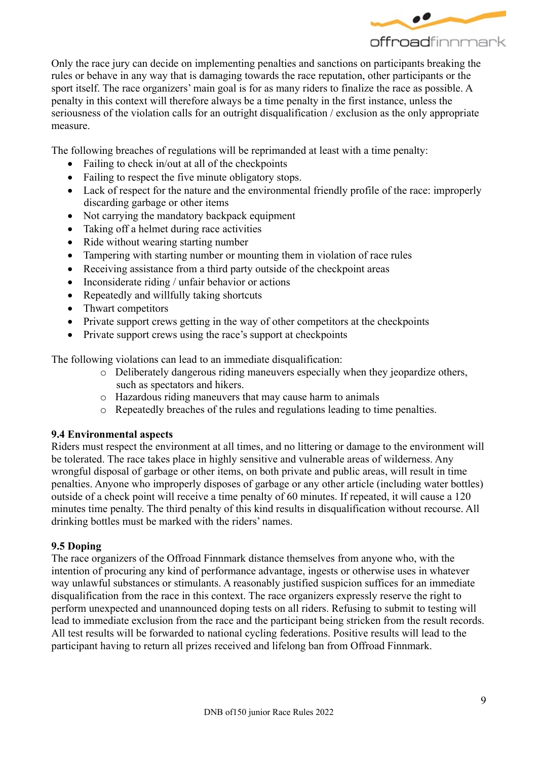

Only the race jury can decide on implementing penalties and sanctions on participants breaking the rules or behave in any way that is damaging towards the race reputation, other participants or the sport itself. The race organizers' main goal is for as many riders to finalize the race as possible. A penalty in this context will therefore always be a time penalty in the first instance, unless the seriousness of the violation calls for an outright disqualification / exclusion as the only appropriate measure.

The following breaches of regulations will be reprimanded at least with a time penalty:

- Failing to check in/out at all of the checkpoints
- Failing to respect the five minute obligatory stops.
- Lack of respect for the nature and the environmental friendly profile of the race: improperly discarding garbage or other items
- Not carrying the mandatory backpack equipment
- Taking off a helmet during race activities
- Ride without wearing starting number
- Tampering with starting number or mounting them in violation of race rules
- Receiving assistance from a third party outside of the checkpoint areas
- Inconsiderate riding / unfair behavior or actions
- Repeatedly and willfully taking shortcuts
- Thwart competitors
- Private support crews getting in the way of other competitors at the checkpoints
- Private support crews using the race's support at checkpoints

The following violations can lead to an immediate disqualification:

- o Deliberately dangerous riding maneuvers especially when they jeopardize others, such as spectators and hikers.
- o Hazardous riding maneuvers that may cause harm to animals
- o Repeatedly breaches of the rules and regulations leading to time penalties.

#### **9.4 Environmental aspects**

Riders must respect the environment at all times, and no littering or damage to the environment will be tolerated. The race takes place in highly sensitive and vulnerable areas of wilderness. Any wrongful disposal of garbage or other items, on both private and public areas, will result in time penalties. Anyone who improperly disposes of garbage or any other article (including water bottles) outside of a check point will receive a time penalty of 60 minutes. If repeated, it will cause a 120 minutes time penalty. The third penalty of this kind results in disqualification without recourse. All drinking bottles must be marked with the riders' names.

#### **9.5 Doping**

The race organizers of the Offroad Finnmark distance themselves from anyone who, with the intention of procuring any kind of performance advantage, ingests or otherwise uses in whatever way unlawful substances or stimulants. A reasonably justified suspicion suffices for an immediate disqualification from the race in this context. The race organizers expressly reserve the right to perform unexpected and unannounced doping tests on all riders. Refusing to submit to testing will lead to immediate exclusion from the race and the participant being stricken from the result records. All test results will be forwarded to national cycling federations. Positive results will lead to the participant having to return all prizes received and lifelong ban from Offroad Finnmark.